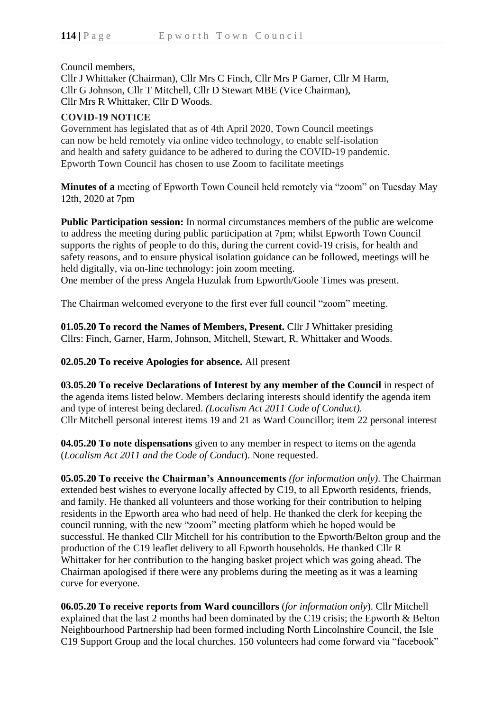## Council members,

Cllr J Whittaker (Chairman), Cllr Mrs C Finch, Cllr Mrs P Garner, Cllr M Harm, Cllr G Johnson, Cllr T Mitchell, Cllr D Stewart MBE (Vice Chairman), Cllr Mrs R Whittaker, Cllr D Woods.

# **COVID-19 NOTICE**

Government has legislated that as of 4th April 2020, Town Council meetings can now be held remotely via online video technology, to enable self-isolation and health and safety guidance to be adhered to during the COVID-19 pandemic. Epworth Town Council has chosen to use Zoom to facilitate meetings

**Minutes of a** meeting of Epworth Town Council held remotely via "zoom" on Tuesday May 12th, 2020 at 7pm

**Public Participation session:** In normal circumstances members of the public are welcome to address the meeting during public participation at 7pm; whilst Epworth Town Council supports the rights of people to do this, during the current covid-19 crisis, for health and safety reasons, and to ensure physical isolation guidance can be followed, meetings will be held digitally, via on-line technology: join zoom meeting.

One member of the press Angela Huzulak from Epworth/Goole Times was present.

The Chairman welcomed everyone to the first ever full council "zoom" meeting.

**01.05.20 To record the Names of Members, Present.** Cllr J Whittaker presiding Cllrs: Finch, Garner, Harm, Johnson, Mitchell, Stewart, R. Whittaker and Woods.

**02.05.20 To receive Apologies for absence.** All present

**03.05.20 To receive Declarations of Interest by any member of the Council** in respect of the agenda items listed below. Members declaring interests should identify the agenda item and type of interest being declared. *(Localism Act 2011 Code of Conduct).* Cllr Mitchell personal interest items 19 and 21 as Ward Councillor; item 22 personal interest

**04.05.20 To note dispensations** given to any member in respect to items on the agenda (*Localism Act 2011 and the Code of Conduct*). None requested.

**05.05.20 To receive the Chairman's Announcements** *(for information only)*. The Chairman extended best wishes to everyone locally affected by C19, to all Epworth residents, friends, and family. He thanked all volunteers and those working for their contribution to helping residents in the Epworth area who had need of help. He thanked the clerk for keeping the council running, with the new "zoom" meeting platform which he hoped would be successful. He thanked Cllr Mitchell for his contribution to the Epworth/Belton group and the production of the C19 leaflet delivery to all Epworth households. He thanked Cllr R Whittaker for her contribution to the hanging basket project which was going ahead. The Chairman apologised if there were any problems during the meeting as it was a learning curve for everyone.

**06.05.20 To receive reports from Ward councillors** (*for information only*). Cllr Mitchell explained that the last 2 months had been dominated by the C19 crisis; the Epworth & Belton Neighbourhood Partnership had been formed including North Lincolnshire Council, the Isle C19 Support Group and the local churches. 150 volunteers had come forward via "facebook"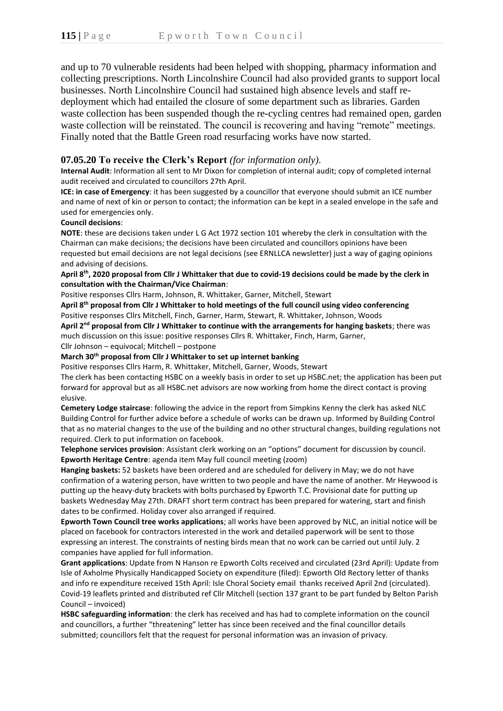and up to 70 vulnerable residents had been helped with shopping, pharmacy information and collecting prescriptions. North Lincolnshire Council had also provided grants to support local businesses. North Lincolnshire Council had sustained high absence levels and staff redeployment which had entailed the closure of some department such as libraries. Garden waste collection has been suspended though the re-cycling centres had remained open, garden waste collection will be reinstated. The council is recovering and having "remote" meetings. Finally noted that the Battle Green road resurfacing works have now started.

## **07.05.20 To receive the Clerk's Report** *(for information only).*

**Internal Audit**: Information all sent to Mr Dixon for completion of internal audit; copy of completed internal audit received and circulated to councillors 27th April.

**ICE: in case of Emergency**: it has been suggested by a councillor that everyone should submit an ICE number and name of next of kin or person to contact; the information can be kept in a sealed envelope in the safe and used for emergencies only.

### **Council decisions**:

**NOTE**: these are decisions taken under L G Act 1972 section 101 whereby the clerk in consultation with the Chairman can make decisions; the decisions have been circulated and councillors opinions have been requested but email decisions are not legal decisions (see ERNLLCA newsletter) just a way of gaging opinions and advising of decisions.

### **April 8th, 2020 proposal from Cllr J Whittaker that due to covid-19 decisions could be made by the clerk in consultation with the Chairman/Vice Chairman**:

Positive responses Cllrs Harm, Johnson, R. Whittaker, Garner, Mitchell, Stewart

**April 8th proposal from Cllr J Whittaker to hold meetings of the full council using video conferencing** Positive responses Cllrs Mitchell, Finch, Garner, Harm, Stewart, R. Whittaker, Johnson, Woods

**April 2nd proposal from Cllr J Whittaker to continue with the arrangements for hanging baskets**; there was much discussion on this issue: positive responses Cllrs R. Whittaker, Finch, Harm, Garner,

Cllr Johnson – equivocal; Mitchell – postpone

### **March 30th proposal from Cllr J Whittaker to set up internet banking**

Positive responses Cllrs Harm, R. Whittaker, Mitchell, Garner, Woods, Stewart

The clerk has been contacting HSBC on a weekly basis in order to set up HSBC.net; the application has been put forward for approval but as all HSBC.net advisors are now working from home the direct contact is proving elusive.

**Cemetery Lodge staircase**: following the advice in the report from Simpkins Kenny the clerk has asked NLC Building Control for further advice before a schedule of works can be drawn up. Informed by Building Control that as no material changes to the use of the building and no other structural changes, building regulations not required. Clerk to put information on facebook.

**Telephone services provision**: Assistant clerk working on an "options" document for discussion by council. **Epworth Heritage Centre**: agenda item May full council meeting (zoom)

**Hanging baskets:** 52 baskets have been ordered and are scheduled for delivery in May; we do not have confirmation of a watering person, have written to two people and have the name of another. Mr Heywood is putting up the heavy-duty brackets with bolts purchased by Epworth T.C. Provisional date for putting up baskets Wednesday May 27th. DRAFT short term contract has been prepared for watering, start and finish dates to be confirmed. Holiday cover also arranged if required.

**Epworth Town Council tree works applications**; all works have been approved by NLC, an initial notice will be placed on facebook for contractors interested in the work and detailed paperwork will be sent to those expressing an interest. The constraints of nesting birds mean that no work can be carried out until July. 2 companies have applied for full information.

**Grant applications**: Update from N Hanson re Epworth Colts received and circulated (23rd April): Update from Isle of Axholme Physically Handicapped Society on expenditure (filed): Epworth Old Rectory letter of thanks and info re expenditure received 15th April: Isle Choral Society email thanks received April 2nd (circulated). Covid-19 leaflets printed and distributed ref Cllr Mitchell (section 137 grant to be part funded by Belton Parish Council – invoiced)

**HSBC safeguarding information**: the clerk has received and has had to complete information on the council and councillors, a further "threatening" letter has since been received and the final councillor details submitted; councillors felt that the request for personal information was an invasion of privacy.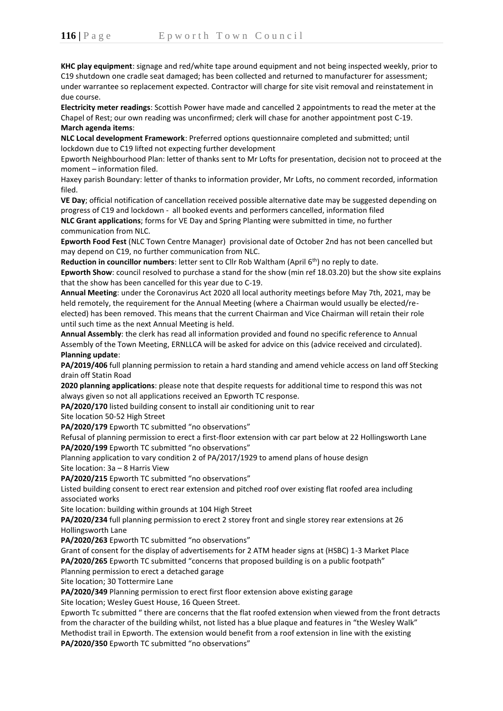**KHC play equipment**: signage and red/white tape around equipment and not being inspected weekly, prior to C19 shutdown one cradle seat damaged; has been collected and returned to manufacturer for assessment; under warrantee so replacement expected. Contractor will charge for site visit removal and reinstatement in due course.

**Electricity meter readings**: Scottish Power have made and cancelled 2 appointments to read the meter at the Chapel of Rest; our own reading was unconfirmed; clerk will chase for another appointment post C-19. **March agenda items**:

**NLC Local development Framework**: Preferred options questionnaire completed and submitted; until lockdown due to C19 lifted not expecting further development

Epworth Neighbourhood Plan: letter of thanks sent to Mr Lofts for presentation, decision not to proceed at the moment – information filed.

Haxey parish Boundary: letter of thanks to information provider, Mr Lofts, no comment recorded, information filed.

**VE Day**; official notification of cancellation received possible alternative date may be suggested depending on progress of C19 and lockdown - all booked events and performers cancelled, information filed **NLC Grant applications**; forms for VE Day and Spring Planting were submitted in time, no further communication from NLC.

**Epworth Food Fest** (NLC Town Centre Manager) provisional date of October 2nd has not been cancelled but may depend on C19, no further communication from NLC.

**Reduction in councillor numbers:** letter sent to Cllr Rob Waltham (April 6<sup>th</sup>) no reply to date.

**Epworth Show**: council resolved to purchase a stand for the show (min ref 18.03.20) but the show site explains that the show has been cancelled for this year due to C-19.

**Annual Meeting**: under the Coronavirus Act 2020 all local authority meetings before May 7th, 2021, may be held remotely, the requirement for the Annual Meeting (where a Chairman would usually be elected/reelected) has been removed. This means that the current Chairman and Vice Chairman will retain their role until such time as the next Annual Meeting is held.

**Annual Assembly**: the clerk has read all information provided and found no specific reference to Annual Assembly of the Town Meeting, ERNLLCA will be asked for advice on this (advice received and circulated). **Planning update**:

**PA/2019/406** full planning permission to retain a hard standing and amend vehicle access on land off Stecking drain off Statin Road

**2020 planning applications**: please note that despite requests for additional time to respond this was not always given so not all applications received an Epworth TC response.

**PA/2020/170** listed building consent to install air conditioning unit to rear

Site location 50-52 High Street

PA/2020/179 Epworth TC submitted "no observations"

Refusal of planning permission to erect a first-floor extension with car part below at 22 Hollingsworth Lane **PA/2020/199** Epworth TC submitted "no observations"

Planning application to vary condition 2 of PA/2017/1929 to amend plans of house design Site location: 3a – 8 Harris View

**PA/2020/215** Epworth TC submitted "no observations"

Listed building consent to erect rear extension and pitched roof over existing flat roofed area including associated works

Site location: building within grounds at 104 High Street

**PA/2020/234** full planning permission to erect 2 storey front and single storey rear extensions at 26 Hollingsworth Lane

**PA/2020/263** Epworth TC submitted "no observations"

Grant of consent for the display of advertisements for 2 ATM header signs at (HSBC) 1-3 Market Place **PA/2020/265** Epworth TC submitted "concerns that proposed building is on a public footpath" Planning permission to erect a detached garage

Site location; 30 Tottermire Lane

**PA/2020/349** Planning permission to erect first floor extension above existing garage

Site location; Wesley Guest House, 16 Queen Street.

Epworth Tc submitted " there are concerns that the flat roofed extension when viewed from the front detracts from the character of the building whilst, not listed has a blue plaque and features in "the Wesley Walk" Methodist trail in Epworth. The extension would benefit from a roof extension in line with the existing **PA/2020/350** Epworth TC submitted "no observations"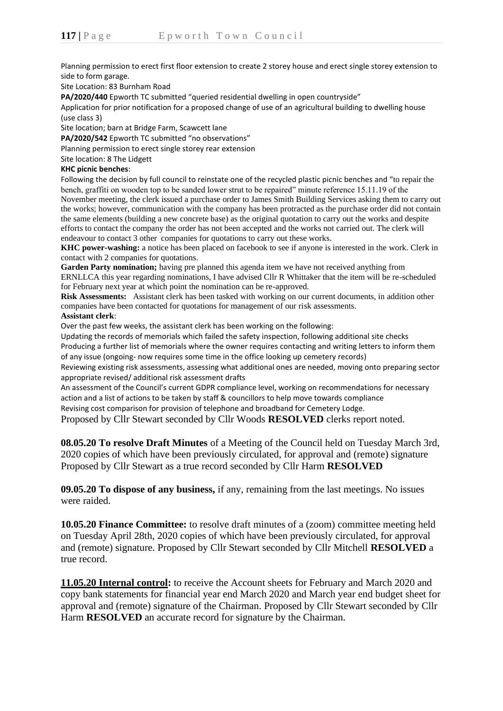Planning permission to erect first floor extension to create 2 storey house and erect single storey extension to side to form garage.

Site Location: 83 Burnham Road

**PA/2020/440** Epworth TC submitted "queried residential dwelling in open countryside"

Application for prior notification for a proposed change of use of an agricultural building to dwelling house (use class 3)

Site location; barn at Bridge Farm, Scawcett lane

**PA/2020/542** Epworth TC submitted "no observations"

Planning permission to erect single storey rear extension

Site location: 8 The Lidgett

#### **KHC picnic benches**:

Following the decision by full council to reinstate one of the recycled plastic picnic benches and "to repair the bench, graffiti on wooden top to be sanded lower strut to be repaired" minute reference 15.11.19 of the November meeting, the clerk issued a purchase order to James Smith Building Services asking them to carry out the works; however, communication with the company has been protracted as the purchase order did not contain the same elements (building a new concrete base) as the original quotation to carry out the works and despite efforts to contact the company the order has not been accepted and the works not carried out. The clerk will endeavour to contact 3 other companies for quotations to carry out these works.

**KHC power-washing:** a notice has been placed on facebook to see if anyone is interested in the work. Clerk in contact with 2 companies for quotations.

**Garden Party nomination;** having pre planned this agenda item we have not received anything from ERNLLCA this year regarding nominations, I have advised Cllr R Whittaker that the item will be re-scheduled for February next year at which point the nomination can be re-approved.

**Risk Assessments:** Assistant clerk has been tasked with working on our current documents, in addition other companies have been contacted for quotations for management of our risk assessments. **Assistant clerk**:

Over the past few weeks, the assistant clerk has been working on the following:

Updating the records of memorials which failed the safety inspection, following additional site checks Producing a further list of memorials where the owner requires contacting and writing letters to inform them of any issue (ongoing- now requires some time in the office looking up cemetery records)

Reviewing existing risk assessments, assessing what additional ones are needed, moving onto preparing sector appropriate revised/ additional risk assessment drafts

An assessment of the Council's current GDPR compliance level, working on recommendations for necessary action and a list of actions to be taken by staff & councillors to help move towards compliance Revising cost comparison for provision of telephone and broadband for Cemetery Lodge.

Proposed by Cllr Stewart seconded by Cllr Woods **RESOLVED** clerks report noted.

**08.05.20 To resolve Draft Minutes** of a Meeting of the Council held on Tuesday March 3rd, 2020 copies of which have been previously circulated, for approval and (remote) signature Proposed by Cllr Stewart as a true record seconded by Cllr Harm **RESOLVED**

**09.05.20 To dispose of any business,** if any, remaining from the last meetings. No issues were raided.

**10.05.20 Finance Committee:** to resolve draft minutes of a (zoom) committee meeting held on Tuesday April 28th, 2020 copies of which have been previously circulated, for approval and (remote) signature. Proposed by Cllr Stewart seconded by Cllr Mitchell **RESOLVED** a true record.

**11.05.20 Internal control:** to receive the Account sheets for February and March 2020 and copy bank statements for financial year end March 2020 and March year end budget sheet for approval and (remote) signature of the Chairman. Proposed by Cllr Stewart seconded by Cllr Harm **RESOLVED** an accurate record for signature by the Chairman.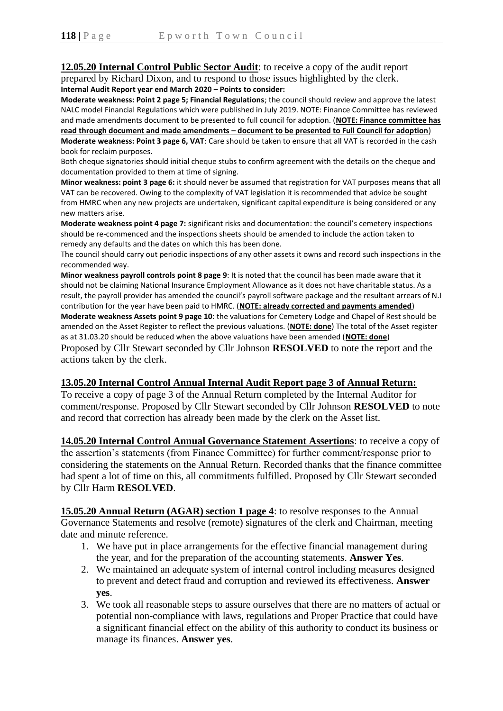# **12.05.20 Internal Control Public Sector Audit**: to receive a copy of the audit report prepared by Richard Dixon, and to respond to those issues highlighted by the clerk.

**Internal Audit Report year end March 2020 – Points to consider:**

**Moderate weakness: Point 2 page 5; Financial Regulations**; the council should review and approve the latest NALC model Financial Regulations which were published in July 2019. NOTE: Finance Committee has reviewed and made amendments document to be presented to full council for adoption. (**NOTE: Finance committee has read through document and made amendments – document to be presented to Full Council for adoption**) **Moderate weakness: Point 3 page 6, VAT**: Care should be taken to ensure that all VAT is recorded in the cash book for reclaim purposes.

Both cheque signatories should initial cheque stubs to confirm agreement with the details on the cheque and documentation provided to them at time of signing.

**Minor weakness: point 3 page 6:** it should never be assumed that registration for VAT purposes means that all VAT can be recovered. Owing to the complexity of VAT legislation it is recommended that advice be sought from HMRC when any new projects are undertaken, significant capital expenditure is being considered or any new matters arise.

**Moderate weakness point 4 page 7:** significant risks and documentation: the council's cemetery inspections should be re-commenced and the inspections sheets should be amended to include the action taken to remedy any defaults and the dates on which this has been done.

The council should carry out periodic inspections of any other assets it owns and record such inspections in the recommended way.

**Minor weakness payroll controls point 8 page 9**: It is noted that the council has been made aware that it should not be claiming National Insurance Employment Allowance as it does not have charitable status. As a result, the payroll provider has amended the council's payroll software package and the resultant arrears of N.I contribution for the year have been paid to HMRC. (**NOTE: already corrected and payments amended**) **Moderate weakness Assets point 9 page 10**: the valuations for Cemetery Lodge and Chapel of Rest should be amended on the Asset Register to reflect the previous valuations. (**NOTE: done**) The total of the Asset register as at 31.03.20 should be reduced when the above valuations have been amended (**NOTE: done**)

Proposed by Cllr Stewart seconded by Cllr Johnson **RESOLVED** to note the report and the actions taken by the clerk.

# **13.05.20 Internal Control Annual Internal Audit Report page 3 of Annual Return:**

To receive a copy of page 3 of the Annual Return completed by the Internal Auditor for comment/response. Proposed by Cllr Stewart seconded by Cllr Johnson **RESOLVED** to note and record that correction has already been made by the clerk on the Asset list.

**14.05.20 Internal Control Annual Governance Statement Assertions**: to receive a copy of the assertion's statements (from Finance Committee) for further comment/response prior to considering the statements on the Annual Return. Recorded thanks that the finance committee had spent a lot of time on this, all commitments fulfilled. Proposed by Cllr Stewart seconded by Cllr Harm **RESOLVED**.

**15.05.20 Annual Return (AGAR) section 1 page 4**: to resolve responses to the Annual Governance Statements and resolve (remote) signatures of the clerk and Chairman, meeting date and minute reference.

- 1. We have put in place arrangements for the effective financial management during the year, and for the preparation of the accounting statements. **Answer Yes**.
- 2. We maintained an adequate system of internal control including measures designed to prevent and detect fraud and corruption and reviewed its effectiveness. **Answer yes**.
- 3. We took all reasonable steps to assure ourselves that there are no matters of actual or potential non-compliance with laws, regulations and Proper Practice that could have a significant financial effect on the ability of this authority to conduct its business or manage its finances. **Answer yes**.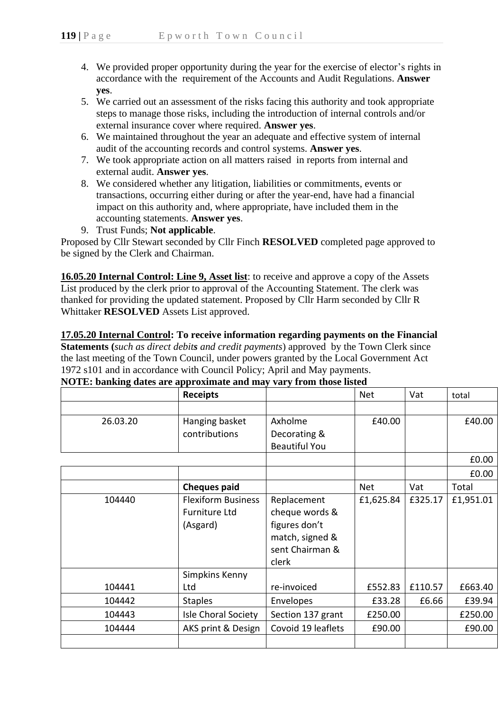- 4. We provided proper opportunity during the year for the exercise of elector's rights in accordance with the requirement of the Accounts and Audit Regulations. **Answer yes**.
- 5. We carried out an assessment of the risks facing this authority and took appropriate steps to manage those risks, including the introduction of internal controls and/or external insurance cover where required. **Answer yes**.
- 6. We maintained throughout the year an adequate and effective system of internal audit of the accounting records and control systems. **Answer yes**.
- 7. We took appropriate action on all matters raised in reports from internal and external audit. **Answer yes**.
- 8. We considered whether any litigation, liabilities or commitments, events or transactions, occurring either during or after the year-end, have had a financial impact on this authority and, where appropriate, have included them in the accounting statements. **Answer yes**.
- 9. Trust Funds; **Not applicable**.

Proposed by Cllr Stewart seconded by Cllr Finch **RESOLVED** completed page approved to be signed by the Clerk and Chairman.

**16.05.20 Internal Control: Line 9, Asset list**: to receive and approve a copy of the Assets List produced by the clerk prior to approval of the Accounting Statement. The clerk was thanked for providing the updated statement. Proposed by Cllr Harm seconded by Cllr R Whittaker **RESOLVED** Assets List approved.

**17.05.20 Internal Control: To receive information regarding payments on the Financial Statements (***such as direct debits and credit payments*) approved by the Town Clerk since the last meeting of the Town Council, under powers granted by the Local Government Act 1972 s101 and in accordance with Council Policy; April and May payments.

**NOTE: banking dates are approximate and may vary from those listed**

|          | <b>Receipts</b>                                               |                                                                                               | <b>Net</b> | Vat     | total     |
|----------|---------------------------------------------------------------|-----------------------------------------------------------------------------------------------|------------|---------|-----------|
|          |                                                               |                                                                                               |            |         |           |
| 26.03.20 | Hanging basket                                                | Axholme                                                                                       | £40.00     |         | £40.00    |
|          | contributions                                                 | Decorating &                                                                                  |            |         |           |
|          |                                                               | <b>Beautiful You</b>                                                                          |            |         |           |
|          |                                                               |                                                                                               |            |         | £0.00     |
|          |                                                               |                                                                                               |            |         | £0.00     |
|          | <b>Cheques paid</b>                                           |                                                                                               | <b>Net</b> | Vat     | Total     |
| 104440   | <b>Flexiform Business</b><br><b>Furniture Ltd</b><br>(Asgard) | Replacement<br>cheque words &<br>figures don't<br>match, signed &<br>sent Chairman &<br>clerk | £1,625.84  | £325.17 | £1,951.01 |
|          | Simpkins Kenny                                                |                                                                                               |            |         |           |
| 104441   | Ltd                                                           | re-invoiced                                                                                   | £552.83    | £110.57 | £663.40   |
| 104442   | <b>Staples</b>                                                | Envelopes                                                                                     | £33.28     | £6.66   | £39.94    |
| 104443   | Isle Choral Society                                           | Section 137 grant                                                                             | £250.00    |         | £250.00   |
| 104444   | AKS print & Design                                            | Covoid 19 leaflets                                                                            | £90.00     |         | £90.00    |
|          |                                                               |                                                                                               |            |         |           |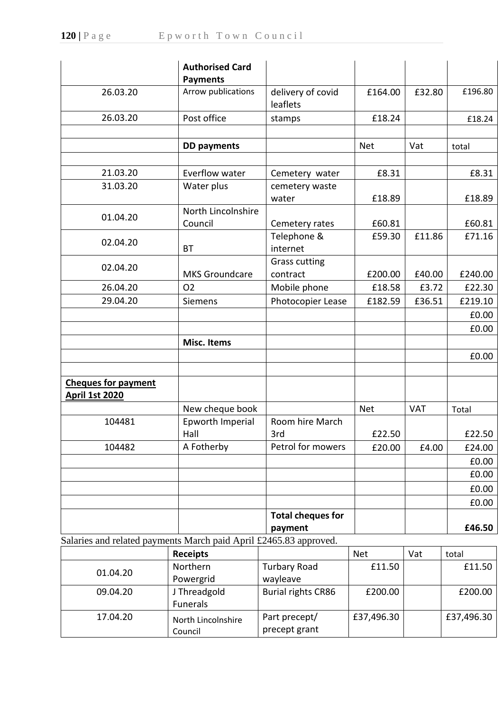|                                                                   | <b>Authorised Card</b><br><b>Payments</b> |                                     |            |            |         |
|-------------------------------------------------------------------|-------------------------------------------|-------------------------------------|------------|------------|---------|
| 26.03.20                                                          | Arrow publications                        | delivery of covid<br>leaflets       | £164.00    | £32.80     | £196.80 |
| 26.03.20                                                          | Post office                               | stamps                              | £18.24     |            | £18.24  |
|                                                                   |                                           |                                     |            |            |         |
|                                                                   | <b>DD</b> payments                        |                                     | <b>Net</b> | Vat        | total   |
|                                                                   |                                           |                                     |            |            |         |
| 21.03.20                                                          | Everflow water                            | Cemetery water                      | £8.31      |            | £8.31   |
| 31.03.20                                                          | Water plus                                | cemetery waste<br>water             | £18.89     |            | £18.89  |
|                                                                   | North Lincolnshire                        |                                     |            |            |         |
| 01.04.20                                                          | Council                                   | Cemetery rates                      | £60.81     |            | £60.81  |
| 02.04.20                                                          | <b>BT</b>                                 | Telephone &<br>internet             | £59.30     | £11.86     | £71.16  |
|                                                                   |                                           | <b>Grass cutting</b>                |            |            |         |
| 02.04.20                                                          | <b>MKS Groundcare</b>                     | contract                            | £200.00    | £40.00     | £240.00 |
| 26.04.20                                                          | <b>O2</b>                                 | Mobile phone                        | £18.58     | £3.72      | £22.30  |
| 29.04.20                                                          | Siemens                                   | Photocopier Lease                   | £182.59    | £36.51     | £219.10 |
|                                                                   |                                           |                                     |            |            | £0.00   |
|                                                                   |                                           |                                     |            |            | £0.00   |
|                                                                   | <b>Misc. Items</b>                        |                                     |            |            |         |
|                                                                   |                                           |                                     |            |            | £0.00   |
|                                                                   |                                           |                                     |            |            |         |
| <b>Cheques for payment</b><br><b>April 1st 2020</b>               |                                           |                                     |            |            |         |
|                                                                   | New cheque book                           |                                     | <b>Net</b> | <b>VAT</b> | Total   |
| 104481                                                            | Epworth Imperial                          | Room hire March                     |            |            |         |
|                                                                   | Hall                                      | 3rd                                 | £22.50     |            | £22.50  |
| 104482                                                            | A Fotherby                                | Petrol for mowers                   | £20.00     | £4.00      | £24.00  |
|                                                                   |                                           |                                     |            |            | £0.00   |
|                                                                   |                                           |                                     |            |            | £0.00   |
|                                                                   |                                           |                                     |            |            | £0.00   |
|                                                                   |                                           |                                     |            |            | £0.00   |
|                                                                   |                                           | <b>Total cheques for</b><br>payment |            |            | £46.50  |
| Salaries and related payments March paid April £2465.83 approved. |                                           |                                     |            |            |         |
|                                                                   | <b>Receipts</b>                           |                                     | <b>Net</b> | Vat        | total   |
| 01.04.20                                                          | Northern<br>Powergrid                     | <b>Turbary Road</b><br>wayleave     | £11.50     |            | £11.50  |
| 09.04.20                                                          | J Threadgold<br>Funerals                  | <b>Burial rights CR86</b>           | £200.00    |            | £200.00 |

Part precept/ precept grant

£37,496.30 £37,496.30

17.04.20 North Lincolnshire

Council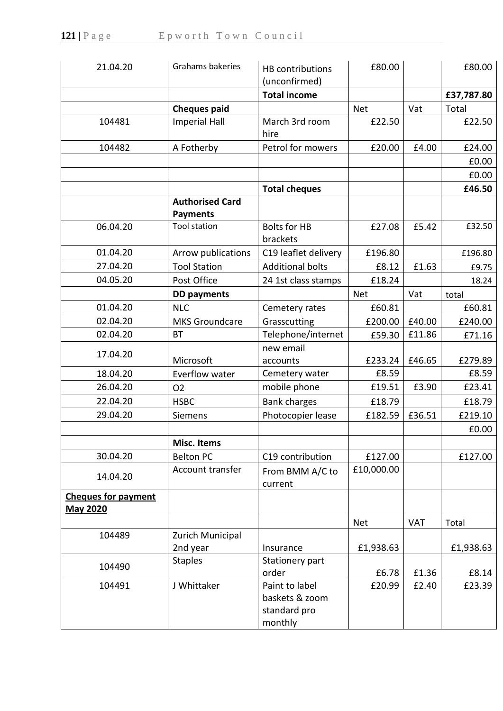| 21.04.20                   | Grahams bakeries       | <b>HB</b> contributions<br>(unconfirmed)                    | £80.00     |            | £80.00     |
|----------------------------|------------------------|-------------------------------------------------------------|------------|------------|------------|
|                            |                        | <b>Total income</b>                                         |            |            | £37,787.80 |
|                            | <b>Cheques paid</b>    |                                                             | <b>Net</b> | Vat        | Total      |
| 104481                     | <b>Imperial Hall</b>   | March 3rd room                                              | £22.50     |            | £22.50     |
|                            |                        | hire                                                        |            |            |            |
| 104482                     | A Fotherby             | Petrol for mowers                                           | £20.00     | £4.00      | £24.00     |
|                            |                        |                                                             |            |            | £0.00      |
|                            |                        |                                                             |            |            | £0.00      |
|                            |                        | <b>Total cheques</b>                                        |            |            | £46.50     |
|                            | <b>Authorised Card</b> |                                                             |            |            |            |
|                            | <b>Payments</b>        |                                                             |            |            |            |
| 06.04.20                   | <b>Tool station</b>    | <b>Bolts for HB</b><br>brackets                             | £27.08     | £5.42      | £32.50     |
| 01.04.20                   | Arrow publications     | C19 leaflet delivery                                        | £196.80    |            | £196.80    |
| 27.04.20                   | <b>Tool Station</b>    | <b>Additional bolts</b>                                     | £8.12      | £1.63      | £9.75      |
| 04.05.20                   | Post Office            | 24 1st class stamps                                         | £18.24     |            | 18.24      |
|                            | <b>DD</b> payments     |                                                             | <b>Net</b> | Vat        | total      |
| 01.04.20                   | <b>NLC</b>             | Cemetery rates                                              | £60.81     |            | £60.81     |
| 02.04.20                   | <b>MKS Groundcare</b>  | Grasscutting                                                | £200.00    | £40.00     | £240.00    |
| 02.04.20                   | ВT                     | Telephone/internet                                          | £59.30     | £11.86     | £71.16     |
|                            |                        | new email                                                   |            |            |            |
| 17.04.20                   | Microsoft              | accounts                                                    | £233.24    | £46.65     | £279.89    |
| 18.04.20                   | Everflow water         | Cemetery water                                              | £8.59      |            | £8.59      |
| 26.04.20                   | 02                     | mobile phone                                                | £19.51     | £3.90      | £23.41     |
| 22.04.20                   | <b>HSBC</b>            | <b>Bank charges</b>                                         | £18.79     |            | £18.79     |
| 29.04.20                   | Siemens                | Photocopier lease                                           | £182.59    | £36.51     | £219.10    |
|                            |                        |                                                             |            |            | £0.00      |
|                            | <b>Misc. Items</b>     |                                                             |            |            |            |
| 30.04.20                   | <b>Belton PC</b>       | C19 contribution                                            | £127.00    |            | £127.00    |
| 14.04.20                   | Account transfer       | From BMM A/C to<br>current                                  | £10,000.00 |            |            |
| <b>Cheques for payment</b> |                        |                                                             |            |            |            |
| <b>May 2020</b>            |                        |                                                             |            |            |            |
|                            |                        |                                                             | <b>Net</b> | <b>VAT</b> | Total      |
| 104489                     | Zurich Municipal       |                                                             |            |            |            |
|                            | 2nd year               | Insurance                                                   | £1,938.63  |            | £1,938.63  |
| 104490                     | <b>Staples</b>         | Stationery part                                             |            |            |            |
|                            |                        | order                                                       | £6.78      | £1.36      | £8.14      |
| 104491                     | J Whittaker            | Paint to label<br>baskets & zoom<br>standard pro<br>monthly | £20.99     | £2.40      | £23.39     |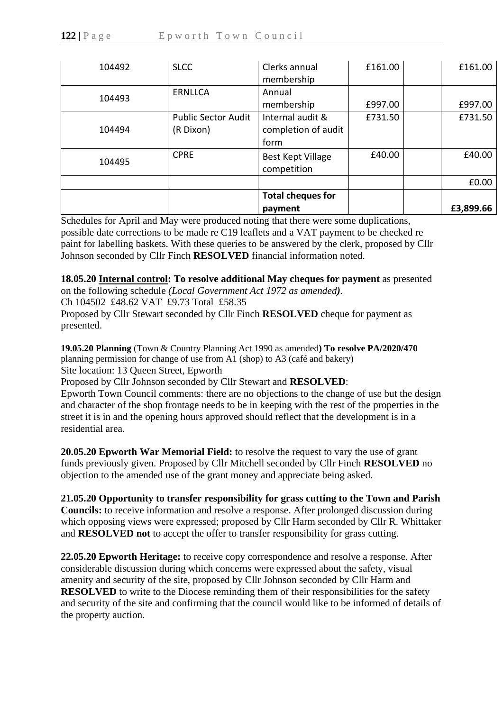| 104492 | <b>SLCC</b>                | Clerks annual<br>membership | £161.00 | £161.00   |
|--------|----------------------------|-----------------------------|---------|-----------|
|        |                            |                             |         |           |
| 104493 | <b>ERNLLCA</b>             | Annual                      |         |           |
|        |                            | membership                  | £997.00 | £997.00   |
|        | <b>Public Sector Audit</b> | Internal audit &            | £731.50 | £731.50   |
| 104494 | (R Dixon)                  | completion of audit         |         |           |
|        |                            | form                        |         |           |
| 104495 | <b>CPRE</b>                | Best Kept Village           | £40.00  | £40.00    |
|        |                            | competition                 |         |           |
|        |                            |                             |         | £0.00     |
|        |                            | <b>Total cheques for</b>    |         |           |
|        |                            | payment                     |         | £3,899.66 |

Schedules for April and May were produced noting that there were some duplications, possible date corrections to be made re C19 leaflets and a VAT payment to be checked re paint for labelling baskets. With these queries to be answered by the clerk, proposed by Cllr Johnson seconded by Cllr Finch **RESOLVED** financial information noted.

# **18.05.20 Internal control: To resolve additional May cheques for payment** as presented

on the following schedule *(Local Government Act 1972 as amended).*

Ch 104502 £48.62 VAT £9.73 Total £58.35

Proposed by Cllr Stewart seconded by Cllr Finch **RESOLVED** cheque for payment as presented.

**19.05.20 Planning** (Town & Country Planning Act 1990 as amended**) To resolve PA/2020/470**  planning permission for change of use from A1 (shop) to A3 (café and bakery) Site location: 13 Queen Street, Epworth

Proposed by Cllr Johnson seconded by Cllr Stewart and **RESOLVED**:

Epworth Town Council comments: there are no objections to the change of use but the design and character of the shop frontage needs to be in keeping with the rest of the properties in the street it is in and the opening hours approved should reflect that the development is in a residential area.

**20.05.20 Epworth War Memorial Field:** to resolve the request to vary the use of grant funds previously given. Proposed by Cllr Mitchell seconded by Cllr Finch **RESOLVED** no objection to the amended use of the grant money and appreciate being asked.

# **21.05.20 Opportunity to transfer responsibility for grass cutting to the Town and Parish**

**Councils:** to receive information and resolve a response. After prolonged discussion during which opposing views were expressed; proposed by Cllr Harm seconded by Cllr R. Whittaker and **RESOLVED not** to accept the offer to transfer responsibility for grass cutting.

**22.05.20 Epworth Heritage:** to receive copy correspondence and resolve a response. After considerable discussion during which concerns were expressed about the safety, visual amenity and security of the site, proposed by Cllr Johnson seconded by Cllr Harm and **RESOLVED** to write to the Diocese reminding them of their responsibilities for the safety and security of the site and confirming that the council would like to be informed of details of the property auction.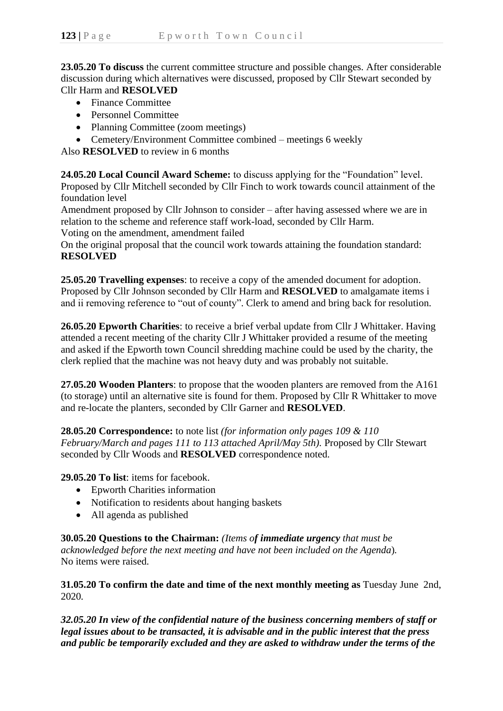**23.05.20 To discuss** the current committee structure and possible changes. After considerable discussion during which alternatives were discussed, proposed by Cllr Stewart seconded by Cllr Harm and **RESOLVED**

- Finance Committee
- Personnel Committee
- Planning Committee (zoom meetings)
- Cemetery/Environment Committee combined meetings 6 weekly

Also **RESOLVED** to review in 6 months

**24.05.20 Local Council Award Scheme:** to discuss applying for the "Foundation" level. Proposed by Cllr Mitchell seconded by Cllr Finch to work towards council attainment of the foundation level

Amendment proposed by Cllr Johnson to consider – after having assessed where we are in relation to the scheme and reference staff work-load, seconded by Cllr Harm. Voting on the amendment, amendment failed

On the original proposal that the council work towards attaining the foundation standard: **RESOLVED**

**25.05.20 Travelling expenses**: to receive a copy of the amended document for adoption. Proposed by Cllr Johnson seconded by Cllr Harm and **RESOLVED** to amalgamate items i and ii removing reference to "out of county". Clerk to amend and bring back for resolution.

**26.05.20 Epworth Charities**: to receive a brief verbal update from Cllr J Whittaker. Having attended a recent meeting of the charity Cllr J Whittaker provided a resume of the meeting and asked if the Epworth town Council shredding machine could be used by the charity, the clerk replied that the machine was not heavy duty and was probably not suitable.

**27.05.20 Wooden Planters**: to propose that the wooden planters are removed from the A161 (to storage) until an alternative site is found for them. Proposed by Cllr R Whittaker to move and re-locate the planters, seconded by Cllr Garner and **RESOLVED**.

**28.05.20 Correspondence:** to note list *(for information only pages 109 & 110 February/March and pages 111 to 113 attached April/May 5th).* Proposed by Cllr Stewart seconded by Cllr Woods and **RESOLVED** correspondence noted.

**29.05.20 To list**: items for facebook.

- Epworth Charities information
- Notification to residents about hanging baskets
- All agenda as published

**30.05.20 Questions to the Chairman:** *(Items of immediate urgency that must be acknowledged before the next meeting and have not been included on the Agenda*)*.* No items were raised.

**31.05.20 To confirm the date and time of the next monthly meeting as** Tuesday June 2nd, 2020*.*

*32.05.20 In view of the confidential nature of the business concerning members of staff or legal issues about to be transacted, it is advisable and in the public interest that the press and public be temporarily excluded and they are asked to withdraw under the terms of the*